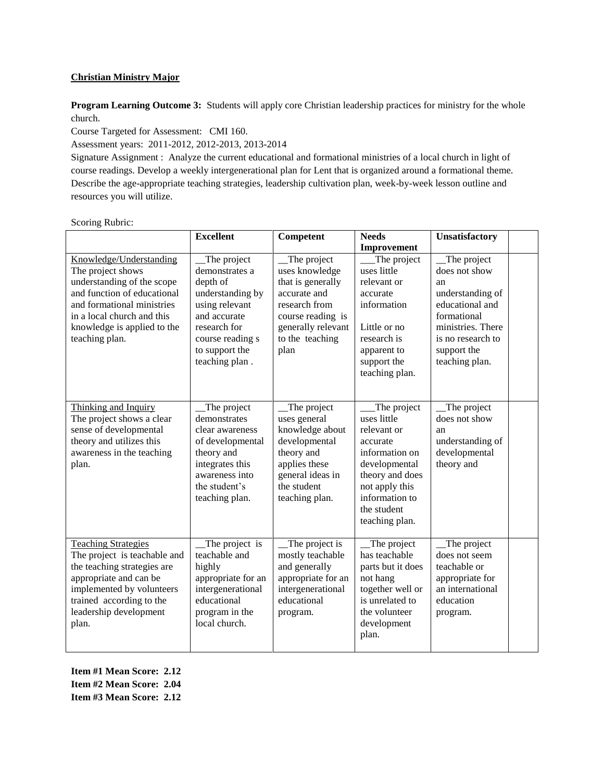# **Christian Ministry Major**

**Program Learning Outcome 3:** Students will apply core Christian leadership practices for ministry for the whole church.

Course Targeted for Assessment: CMI 160.

Assessment years: 2011-2012, 2012-2013, 2013-2014

Signature Assignment : Analyze the current educational and formational ministries of a local church in light of course readings. Develop a weekly intergenerational plan for Lent that is organized around a formational theme. Describe the age-appropriate teaching strategies, leadership cultivation plan, week-by-week lesson outline and resources you will utilize.

# Scoring Rubric:

|                                                                                                                                                                                                                        | <b>Excellent</b>                                                                                                                                                        | Competent                                                                                                                                                 | <b>Needs</b>                                                                                                                                                                     | Unsatisfactory                                                                                                                                                      |  |
|------------------------------------------------------------------------------------------------------------------------------------------------------------------------------------------------------------------------|-------------------------------------------------------------------------------------------------------------------------------------------------------------------------|-----------------------------------------------------------------------------------------------------------------------------------------------------------|----------------------------------------------------------------------------------------------------------------------------------------------------------------------------------|---------------------------------------------------------------------------------------------------------------------------------------------------------------------|--|
|                                                                                                                                                                                                                        |                                                                                                                                                                         |                                                                                                                                                           | Improvement                                                                                                                                                                      |                                                                                                                                                                     |  |
| Knowledge/Understanding<br>The project shows<br>understanding of the scope<br>and function of educational<br>and formational ministries<br>in a local church and this<br>knowledge is applied to the<br>teaching plan. | The project<br>demonstrates a<br>depth of<br>understanding by<br>using relevant<br>and accurate<br>research for<br>course reading s<br>to support the<br>teaching plan. | The project<br>uses knowledge<br>that is generally<br>accurate and<br>research from<br>course reading is<br>generally relevant<br>to the teaching<br>plan | The project<br>uses little<br>relevant or<br>accurate<br>information<br>Little or no<br>research is<br>apparent to<br>support the<br>teaching plan.                              | The project<br>does not show<br>an<br>understanding of<br>educational and<br>formational<br>ministries. There<br>is no research to<br>support the<br>teaching plan. |  |
| Thinking and Inquiry<br>The project shows a clear<br>sense of developmental<br>theory and utilizes this<br>awareness in the teaching<br>plan.                                                                          | _The project<br>demonstrates<br>clear awareness<br>of developmental<br>theory and<br>integrates this<br>awareness into<br>the student's<br>teaching plan.               | The project<br>uses general<br>knowledge about<br>developmental<br>theory and<br>applies these<br>general ideas in<br>the student<br>teaching plan.       | The project<br>uses little<br>relevant or<br>accurate<br>information on<br>developmental<br>theory and does<br>not apply this<br>information to<br>the student<br>teaching plan. | $\Box$ The project<br>does not show<br>an<br>understanding of<br>developmental<br>theory and                                                                        |  |
| <b>Teaching Strategies</b><br>The project is teachable and<br>the teaching strategies are<br>appropriate and can be<br>implemented by volunteers<br>trained according to the<br>leadership development<br>plan.        | The project is<br>teachable and<br>highly<br>appropriate for an<br>intergenerational<br>educational<br>program in the<br>local church.                                  | The project is<br>mostly teachable<br>and generally<br>appropriate for an<br>intergenerational<br>educational<br>program.                                 | The project<br>has teachable<br>parts but it does<br>not hang<br>together well or<br>is unrelated to<br>the volunteer<br>development<br>plan.                                    | The project<br>does not seem<br>teachable or<br>appropriate for<br>an international<br>education<br>program.                                                        |  |

**Item #1 Mean Score: 2.12 Item #2 Mean Score: 2.04 Item #3 Mean Score: 2.12**